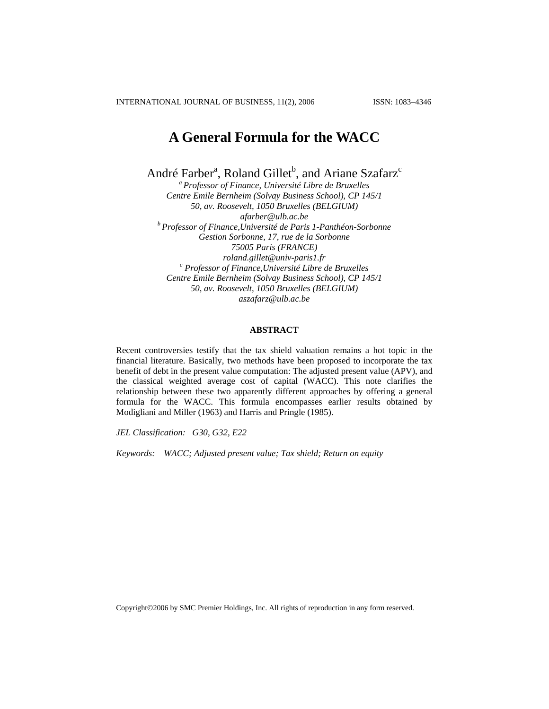INTERNATIONAL JOURNAL OF BUSINESS, 11(2), 2006 ISSN: 1083−4346

# **A General Formula for the WACC**

André Farber<sup>a</sup>, Roland Gillet<sup>b</sup>, and Ariane Szafarz<sup>c</sup>

*a Professor of Finance, Université Libre de Bruxelles Centre Emile Bernheim (Solvay Business School), CP 145/1 50, av. Roosevelt, 1050 Bruxelles (BELGIUM) afarber@ulb.ac.be b Professor of Finance,Université de Paris 1-Panthéon-Sorbonne Gestion Sorbonne, 17, rue de la Sorbonne 75005 Paris (FRANCE) roland.gillet@univ-paris1.fr c Professor of Finance,Université Libre de Bruxelles Centre Emile Bernheim (Solvay Business School), CP 145/1 50, av. Roosevelt, 1050 Bruxelles (BELGIUM) aszafarz@ulb.ac.be*

## **ABSTRACT**

Recent controversies testify that the tax shield valuation remains a hot topic in the financial literature. Basically, two methods have been proposed to incorporate the tax benefit of debt in the present value computation: The adjusted present value (APV), and the classical weighted average cost of capital (WACC). This note clarifies the relationship between these two apparently different approaches by offering a general formula for the WACC. This formula encompasses earlier results obtained by Modigliani and Miller (1963) and Harris and Pringle (1985).

*JEL Classification: G30, G32, E22*

*Keywords: WACC; Adjusted present value; Tax shield; Return on equity* 

Copyright©2006 by SMC Premier Holdings, Inc. All rights of reproduction in any form reserved.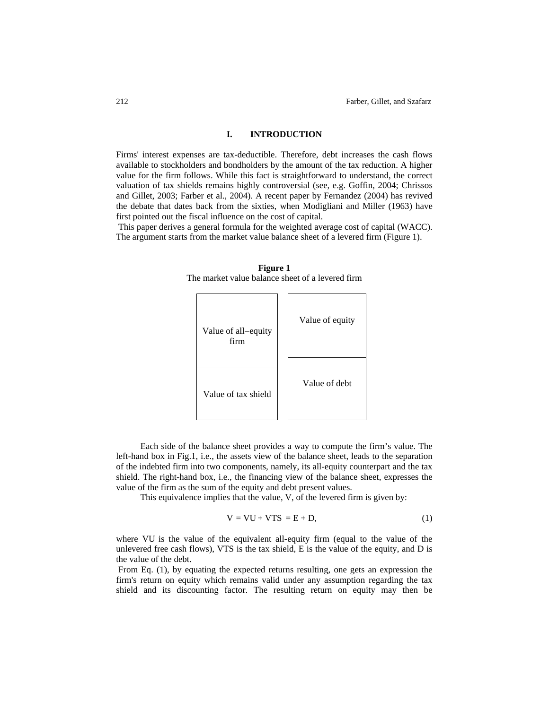## **I. INTRODUCTION**

Firms' interest expenses are tax-deductible. Therefore, debt increases the cash flows available to stockholders and bondholders by the amount of the tax reduction. A higher value for the firm follows. While this fact is straightforward to understand, the correct valuation of tax shields remains highly controversial (see, e.g. Goffin, 2004; Chrissos and Gillet, 2003; Farber et al., 2004). A recent paper by Fernandez (2004) has revived the debate that dates back from the sixties, when Modigliani and Miller (1963) have first pointed out the fiscal influence on the cost of capital.

 This paper derives a general formula for the weighted average cost of capital (WACC). The argument starts from the market value balance sheet of a levered firm (Figure 1).



**Figure 1**  The market value balance sheet of a levered firm

Each side of the balance sheet provides a way to compute the firm's value. The left-hand box in Fig.1, i.e., the assets view of the balance sheet, leads to the separation of the indebted firm into two components, namely, its all-equity counterpart and the tax shield. The right-hand box, i.e., the financing view of the balance sheet, expresses the value of the firm as the sum of the equity and debt present values.

This equivalence implies that the value, V, of the levered firm is given by:

$$
V = VU + VTS = E + D,
$$
\n(1)

where VU is the value of the equivalent all-equity firm (equal to the value of the unlevered free cash flows), VTS is the tax shield, E is the value of the equity, and D is the value of the debt.

 From Eq. (1), by equating the expected returns resulting, one gets an expression the firm's return on equity which remains valid under any assumption regarding the tax shield and its discounting factor. The resulting return on equity may then be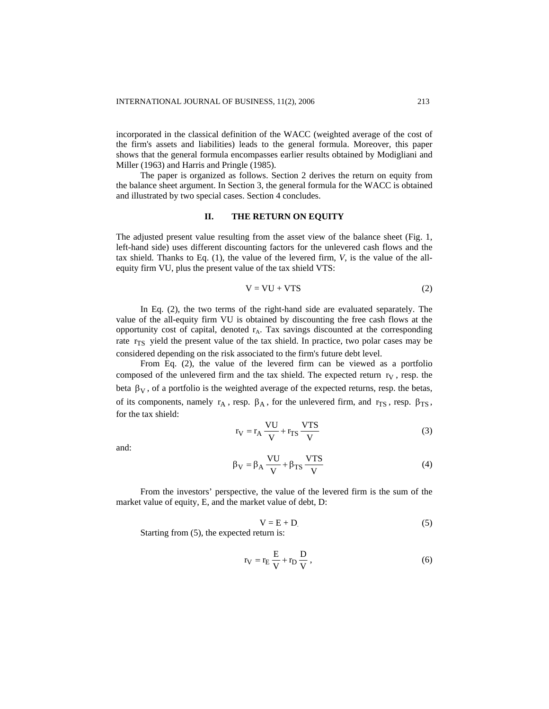incorporated in the classical definition of the WACC (weighted average of the cost of the firm's assets and liabilities) leads to the general formula. Moreover, this paper shows that the general formula encompasses earlier results obtained by Modigliani and Miller (1963) and Harris and Pringle (1985).

The paper is organized as follows. Section 2 derives the return on equity from the balance sheet argument. In Section 3, the general formula for the WACC is obtained and illustrated by two special cases. Section 4 concludes.

#### **II. THE RETURN ON EQUITY**

The adjusted present value resulting from the asset view of the balance sheet (Fig. 1, left-hand side) uses different discounting factors for the unlevered cash flows and the tax shield. Thanks to Eq. (1), the value of the levered firm, *V*, is the value of the allequity firm VU, plus the present value of the tax shield VTS:

$$
V = VU + VTS
$$
 (2)

In Eq. (2), the two terms of the right-hand side are evaluated separately. The value of the all-equity firm VU is obtained by discounting the free cash flows at the opportunity cost of capital, denoted r<sub>A</sub>. Tax savings discounted at the corresponding rate r<sub>TS</sub> yield the present value of the tax shield. In practice, two polar cases may be considered depending on the risk associated to the firm's future debt level.

From Eq. (2), the value of the levered firm can be viewed as a portfolio composed of the unlevered firm and the tax shield. The expected return  $r_V$ , resp. the beta  $\beta_V$ , of a portfolio is the weighted average of the expected returns, resp. the betas, of its components, namely  $r_A$ , resp.  $\beta_A$ , for the unlevered firm, and  $r_{TS}$ , resp.  $\beta_{TS}$ , for the tax shield:

$$
r_V = r_A \frac{VU}{V} + r_{TS} \frac{VTS}{V}
$$
 (3)

and:

$$
\beta_{\rm V} = \beta_{\rm A} \frac{\rm VU}{\rm V} + \beta_{\rm TS} \frac{\rm VTS}{\rm V} \tag{4}
$$

From the investors' perspective, the value of the levered firm is the sum of the market value of equity, E, and the market value of debt, D:

$$
V = E + D \tag{5}
$$

Starting from (5), the expected return is:

$$
r_V = r_E \frac{E}{V} + r_D \frac{D}{V},\qquad(6)
$$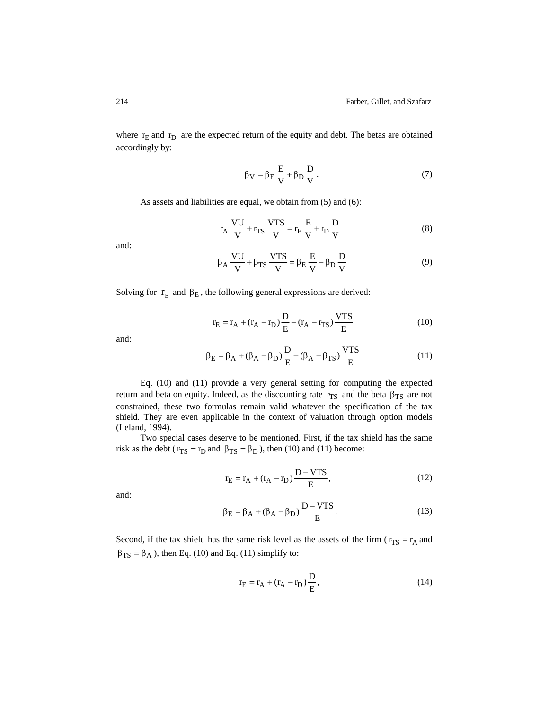where  $r_E$  and  $r_D$  are the expected return of the equity and debt. The betas are obtained accordingly by:

$$
\beta_V = \beta_E \frac{E}{V} + \beta_D \frac{D}{V}.
$$
\n(7)

As assets and liabilities are equal, we obtain from (5) and (6):

$$
r_A \frac{VU}{V} + r_{TS} \frac{VTS}{V} = r_E \frac{E}{V} + r_D \frac{D}{V}
$$
 (8)

and:

$$
\beta_{A} \frac{VU}{V} + \beta_{TS} \frac{VTS}{V} = \beta_{E} \frac{E}{V} + \beta_{D} \frac{D}{V}
$$
(9)

Solving for  $r_E$  and  $\beta_E$ , the following general expressions are derived:

$$
r_{E} = r_{A} + (r_{A} - r_{D}) \frac{D}{E} - (r_{A} - r_{TS}) \frac{VTS}{E}
$$
 (10)

and:

$$
\beta_{\rm E} = \beta_{\rm A} + (\beta_{\rm A} - \beta_{\rm D}) \frac{\rm D}{\rm E} - (\beta_{\rm A} - \beta_{\rm TS}) \frac{\rm VTS}{\rm E} \tag{11}
$$

Eq. (10) and (11) provide a very general setting for computing the expected return and beta on equity. Indeed, as the discounting rate  $r_{TS}$  and the beta  $\beta_{TS}$  are not constrained, these two formulas remain valid whatever the specification of the tax shield. They are even applicable in the context of valuation through option models (Leland, 1994).

Two special cases deserve to be mentioned. First, if the tax shield has the same risk as the debt ( $r_{TS} = r_D$  and  $\beta_{TS} = \beta_D$ ), then (10) and (11) become:

$$
r_{E} = r_{A} + (r_{A} - r_{D}) \frac{D - VTS}{E},
$$
\n(12)

and:

$$
\beta_{\rm E} = \beta_{\rm A} + (\beta_{\rm A} - \beta_{\rm D}) \frac{\rm D - VTS}{\rm E}.
$$
 (13)

Second, if the tax shield has the same risk level as the assets of the firm ( $r_{TS} = r_A$  and  $\beta_{TS} = \beta_A$ ), then Eq. (10) and Eq. (11) simplify to:

$$
r_{E} = r_{A} + (r_{A} - r_{D})\frac{D}{E},
$$
\n(14)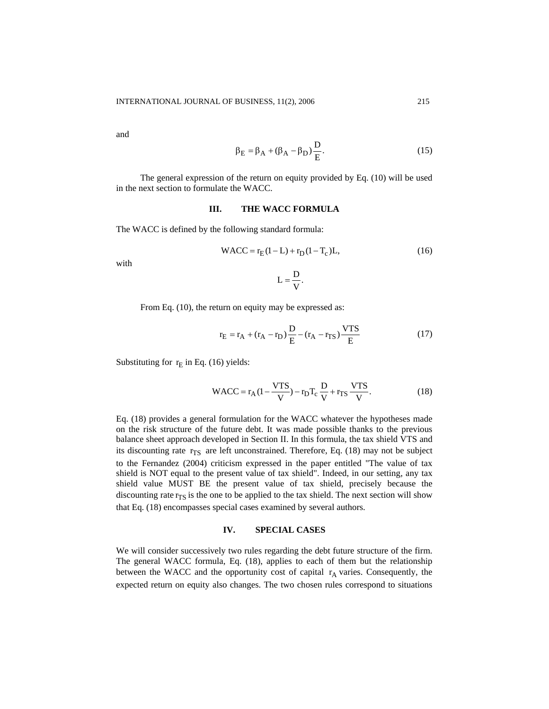and

$$
\beta_{\rm E} = \beta_{\rm A} + (\beta_{\rm A} - \beta_{\rm D}) \frac{\rm D}{\rm E}.
$$
 (15)

The general expression of the return on equity provided by Eq. (10) will be used in the next section to formulate the WACC.

## **III. THE WACC FORMULA**

The WACC is defined by the following standard formula:

WACC = 
$$
r_E(1-L) + r_D(1-T_c)L
$$
, (16)

with

$$
L=\frac{D}{V}.
$$

From Eq. (10), the return on equity may be expressed as:

$$
r_{E} = r_{A} + (r_{A} - r_{D})\frac{D}{E} - (r_{A} - r_{TS})\frac{VTS}{E}
$$
 (17)

Substituting for  $r_E$  in Eq. (16) yields:

WACC = 
$$
r_A (1 - \frac{VTS}{V}) - r_D T_c \frac{D}{V} + r_{TS} \frac{VTS}{V}
$$
. (18)

Eq. (18) provides a general formulation for the WACC whatever the hypotheses made on the risk structure of the future debt. It was made possible thanks to the previous balance sheet approach developed in Section II. In this formula, the tax shield VTS and its discounting rate  $r_{TS}$  are left unconstrained. Therefore, Eq. (18) may not be subject to the Fernandez (2004) criticism expressed in the paper entitled "The value of tax shield is NOT equal to the present value of tax shield". Indeed, in our setting, any tax shield value MUST BE the present value of tax shield, precisely because the discounting rate  $r_{TS}$  is the one to be applied to the tax shield. The next section will show that Eq. (18) encompasses special cases examined by several authors.

#### **IV. SPECIAL CASES**

We will consider successively two rules regarding the debt future structure of the firm. The general WACC formula, Eq. (18), applies to each of them but the relationship between the WACC and the opportunity cost of capital  $r_A$  varies. Consequently, the expected return on equity also changes. The two chosen rules correspond to situations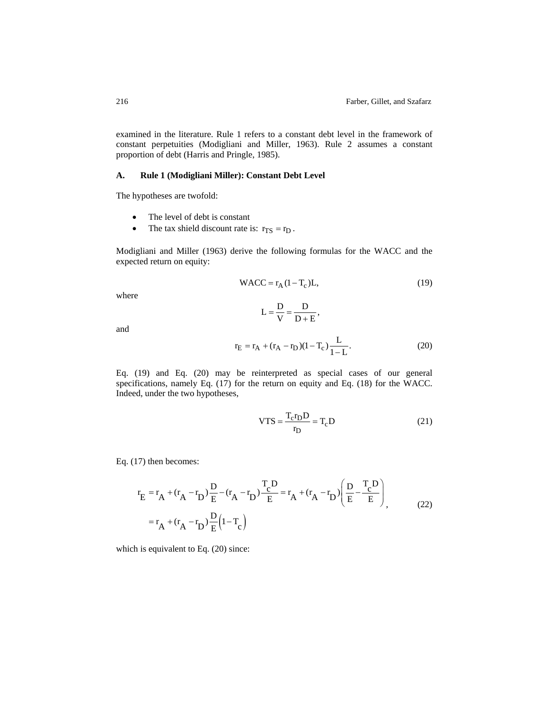examined in the literature. Rule 1 refers to a constant debt level in the framework of constant perpetuities (Modigliani and Miller, 1963). Rule 2 assumes a constant proportion of debt (Harris and Pringle, 1985).

## **A. Rule 1 (Modigliani Miller): Constant Debt Level**

The hypotheses are twofold:

- The level of debt is constant
- The tax shield discount rate is:  $r_{TS} = r_D$ .

Modigliani and Miller (1963) derive the following formulas for the WACC and the expected return on equity:

 $L = \frac{D}{V} = \frac{D}{D + }$ 

$$
WACC = r_A (1 - T_c)L,
$$
\n(19)

where

and

$$
r_{\rm E} = r_{\rm A} + (r_{\rm A} - r_{\rm D})(1 - T_{\rm c}) \frac{\rm L}{1 - \rm L}.
$$
 (20)

 $\frac{D}{D + E}$ 

Eq. (19) and Eq. (20) may be reinterpreted as special cases of our general specifications, namely Eq. (17) for the return on equity and Eq. (18) for the WACC. Indeed, under the two hypotheses,

$$
VTS = \frac{T_c r_D D}{r_D} = T_c D
$$
 (21)

Eq. (17) then becomes:

$$
r_{E} = r_{A} + (r_{A} - r_{D}) \frac{D}{E} - (r_{A} - r_{D}) \frac{T_{c}D}{E} = r_{A} + (r_{A} - r_{D}) \left(\frac{D}{E} - \frac{T_{c}D}{E}\right)
$$
  
=  $r_{A} + (r_{A} - r_{D}) \frac{D}{E} (1 - T_{c})$  (22)

which is equivalent to Eq. (20) since: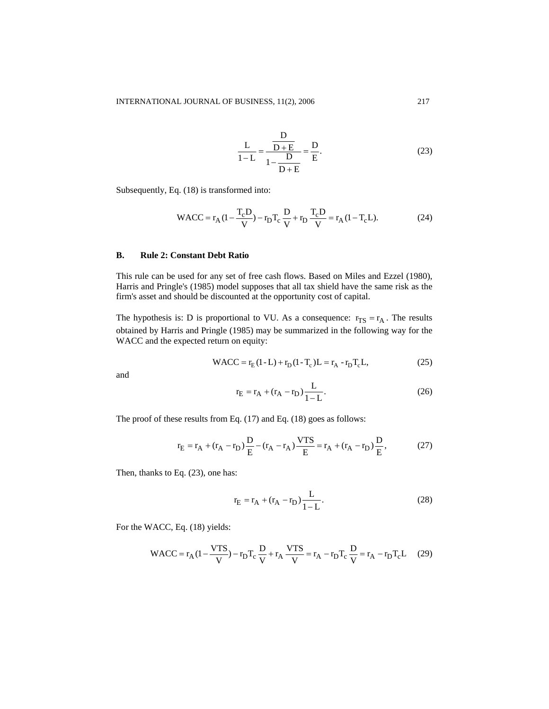$$
\frac{L}{1-L} = \frac{\frac{D}{D+E}}{1-\frac{D}{D+E}} = \frac{D}{E}.
$$
 (23)

Subsequently, Eq. (18) is transformed into:

WACC = 
$$
r_A (1 - \frac{T_c D}{V}) - r_D T_c \frac{D}{V} + r_D \frac{T_c D}{V} = r_A (1 - T_c L).
$$
 (24)

## **B. Rule 2: Constant Debt Ratio**

This rule can be used for any set of free cash flows. Based on Miles and Ezzel (1980), Harris and Pringle's (1985) model supposes that all tax shield have the same risk as the firm's asset and should be discounted at the opportunity cost of capital.

The hypothesis is: D is proportional to VU. As a consequence:  $r_{TS} = r_A$ . The results obtained by Harris and Pringle (1985) may be summarized in the following way for the WACC and the expected return on equity:

WACC = 
$$
r_E(1 - L) + r_D(1 - T_c)L = r_A - r_D T_c L,
$$
 (25)

and

$$
r_{E} = r_{A} + (r_{A} - r_{D}) \frac{L}{1 - L}.
$$
 (26)

The proof of these results from Eq. (17) and Eq. (18) goes as follows:

$$
r_{E} = r_{A} + (r_{A} - r_{D})\frac{D}{E} - (r_{A} - r_{A})\frac{VTS}{E} = r_{A} + (r_{A} - r_{D})\frac{D}{E},
$$
 (27)

Then, thanks to Eq. (23), one has:

$$
r_{E} = r_{A} + (r_{A} - r_{D}) \frac{L}{1 - L}.
$$
 (28)

For the WACC, Eq. (18) yields:

$$
\text{WACC} = \mathbf{r}_{A} \left( 1 - \frac{\mathbf{V} \mathbf{T} \mathbf{S}}{\mathbf{V}} \right) - \mathbf{r}_{D} \mathbf{T}_{c} \frac{\mathbf{D}}{\mathbf{V}} + \mathbf{r}_{A} \frac{\mathbf{V} \mathbf{T} \mathbf{S}}{\mathbf{V}} = \mathbf{r}_{A} - \mathbf{r}_{D} \mathbf{T}_{c} \frac{\mathbf{D}}{\mathbf{V}} = \mathbf{r}_{A} - \mathbf{r}_{D} \mathbf{T}_{c} \mathbf{L}
$$
 (29)